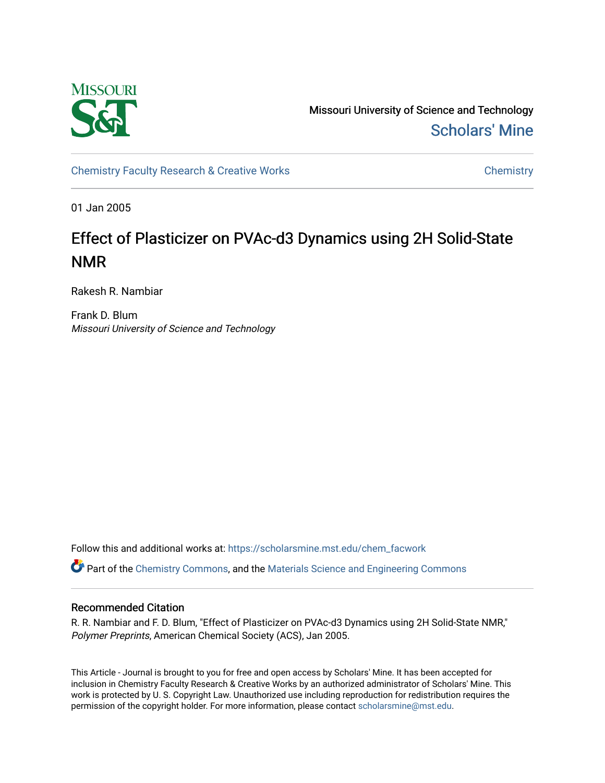

Missouri University of Science and Technology [Scholars' Mine](https://scholarsmine.mst.edu/) 

[Chemistry Faculty Research & Creative Works](https://scholarsmine.mst.edu/chem_facwork) [Chemistry](https://scholarsmine.mst.edu/chem) Chemistry

01 Jan 2005

# Effect of Plasticizer on PVAc-d3 Dynamics using 2H Solid-State NMR

Rakesh R. Nambiar

Frank D. Blum Missouri University of Science and Technology

Follow this and additional works at: [https://scholarsmine.mst.edu/chem\\_facwork](https://scholarsmine.mst.edu/chem_facwork?utm_source=scholarsmine.mst.edu%2Fchem_facwork%2F2405&utm_medium=PDF&utm_campaign=PDFCoverPages)

Part of the [Chemistry Commons,](http://network.bepress.com/hgg/discipline/131?utm_source=scholarsmine.mst.edu%2Fchem_facwork%2F2405&utm_medium=PDF&utm_campaign=PDFCoverPages) and the [Materials Science and Engineering Commons](http://network.bepress.com/hgg/discipline/285?utm_source=scholarsmine.mst.edu%2Fchem_facwork%2F2405&utm_medium=PDF&utm_campaign=PDFCoverPages)

# Recommended Citation

R. R. Nambiar and F. D. Blum, "Effect of Plasticizer on PVAc-d3 Dynamics using 2H Solid-State NMR," Polymer Preprints, American Chemical Society (ACS), Jan 2005.

This Article - Journal is brought to you for free and open access by Scholars' Mine. It has been accepted for inclusion in Chemistry Faculty Research & Creative Works by an authorized administrator of Scholars' Mine. This work is protected by U. S. Copyright Law. Unauthorized use including reproduction for redistribution requires the permission of the copyright holder. For more information, please contact [scholarsmine@mst.edu](mailto:scholarsmine@mst.edu).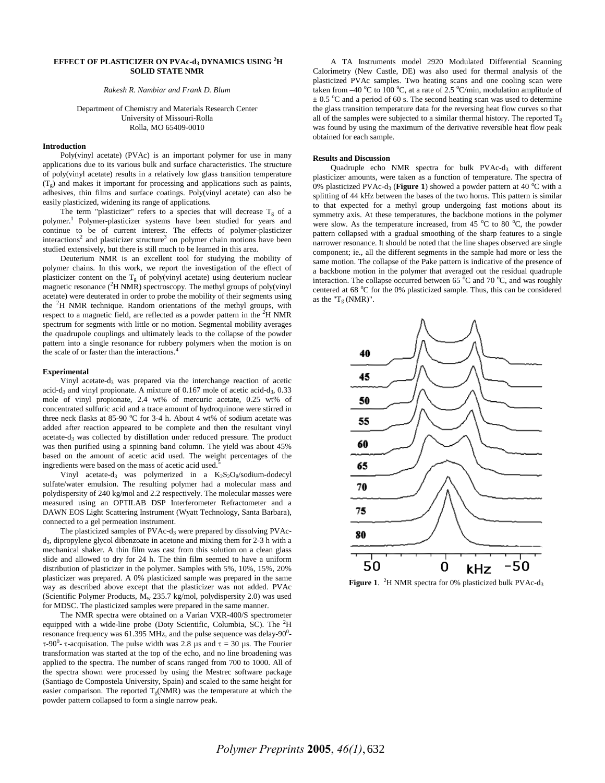# **EFFECT OF PLASTICIZER ON PVAc-d3 DYNAMICS USING <sup>2</sup> H SOLID STATE NMR**

*Rakesh R. Nambiar and Frank D. Blum* 

Department of Chemistry and Materials Research Center University of Missouri-Rolla Rolla, MO 65409-0010

### **Introduction**

Poly(vinyl acetate) (PVAc) is an important polymer for use in many applications due to its various bulk and surface characteristics. The structure of poly(vinyl acetate) results in a relatively low glass transition temperature  $(T_g)$  and makes it important for processing and applications such as paints, adhesives, thin films and surface coatings. Poly(vinyl acetate) can also be easily plasticized, widening its range of applications.

The term "plasticizer" refers to a species that will decrease  $T_g$  of a polymer.<sup>1</sup> Polymer-plasticizer systems have been studied for years and continue to be of current interest. The effects of polymer-plasticizer interactions<sup>2</sup> and plasticizer structure<sup>3</sup> on polymer chain motions have been studied extensively, but there is still much to be learned in this area.

Deuterium NMR is an excellent tool for studying the mobility of polymer chains. In this work, we report the investigation of the effect of plasticizer content on the  $T_g$  of poly(vinyl acetate) using deuterium nuclear magnetic resonance  $(^{2}H NMR)$  spectroscopy. The methyl groups of poly(vinyl acetate) were deuterated in order to probe the mobility of their segments using the <sup>2</sup> H NMR technique. Random orientations of the methyl groups, with respect to a magnetic field, are reflected as a powder pattern in the  ${}^{2}$ H NMR spectrum for segments with little or no motion. Segmental mobility averages the quadrupole couplings and ultimately leads to the collapse of the powder pattern into a single resonance for rubbery polymers when the motion is on the scale of or faster than the interactions.<sup>4</sup>

#### **Experimental**

Vinyl acetate-d3 was prepared via the interchange reaction of acetic acid-d<sub>3</sub> and vinyl propionate. A mixture of  $0.167$  mole of acetic acid-d<sub>3</sub>,  $0.33$ mole of vinyl propionate, 2.4 wt% of mercuric acetate, 0.25 wt% of concentrated sulfuric acid and a trace amount of hydroquinone were stirred in three neck flasks at 85-90 °C for 3-4 h. About 4 wt% of sodium acetate was added after reaction appeared to be complete and then the resultant vinyl acetate-d3 was collected by distillation under reduced pressure. The product was then purified using a spinning band column. The yield was about 45% based on the amount of acetic acid used. The weight percentages of the ingredients were based on the mass of acetic acid used.<sup>5</sup>

Vinyl acetate-d<sub>3</sub> was polymerized in a  $K_2S_2O_8$ /sodium-dodecyl sulfate/water emulsion. The resulting polymer had a molecular mass and polydispersity of 240 kg/mol and 2.2 respectively. The molecular masses were measured using an OPTILAB DSP Interferometer Refractometer and a DAWN EOS Light Scattering Instrument (Wyatt Technology, Santa Barbara), connected to a gel permeation instrument.

The plasticized samples of PVAc-d<sub>3</sub> were prepared by dissolving PVAcd3, dipropylene glycol dibenzoate in acetone and mixing them for 2-3 h with a mechanical shaker. A thin film was cast from this solution on a clean glass slide and allowed to dry for 24 h. The thin film seemed to have a uniform distribution of plasticizer in the polymer. Samples with 5%, 10%, 15%, 20% plasticizer was prepared. A 0% plasticized sample was prepared in the same way as described above except that the plasticizer was not added. PVAc (Scientific Polymer Products,  $M_w$  235.7 kg/mol, polydispersity 2.0) was used for MDSC. The plasticized samples were prepared in the same manner.

The NMR spectra were obtained on a Varian VXR-400/S spectrometer equipped with a wide-line probe (Doty Scientific, Columbia, SC). The  ${}^{2}H$ resonance frequency was  $61.395$  MHz, and the pulse sequence was delay-90 $^0$ τ-90<sup>0</sup>- τ-acquisation. The pulse width was 2.8 μs and τ = 30 μs. The Fourier transformation was started at the top of the echo, and no line broadening was applied to the spectra. The number of scans ranged from 700 to 1000. All of the spectra shown were processed by using the Mestrec software package (Santiago de Compostela University, Spain) and scaled to the same height for easier comparison. The reported  $T_g(NMR)$  was the temperature at which the powder pattern collapsed to form a single narrow peak.

A TA Instruments model 2920 Modulated Differential Scanning Calorimetry (New Castle, DE) was also used for thermal analysis of the plasticized PVAc samples. Two heating scans and one cooling scan were taken from  $-40^{\circ}$ C to 100 °C, at a rate of 2.5 °C/min, modulation amplitude of  $\pm$  0.5 °C and a period of 60 s. The second heating scan was used to determine the glass transition temperature data for the reversing heat flow curves so that all of the samples were subjected to a similar thermal history. The reported  $T_g$ was found by using the maximum of the derivative reversible heat flow peak obtained for each sample.

#### **Results and Discussion**

Quadruple echo NMR spectra for bulk PVAc-d<sub>3</sub> with different plasticizer amounts, were taken as a function of temperature. The spectra of  $\overline{0}$ % plasticized PVAc-d<sub>3</sub> (Figure 1) showed a powder pattern at 40  $^{\circ}$ C with a splitting of 44 kHz between the bases of the two horns. This pattern is similar to that expected for a methyl group undergoing fast motions about its symmetry axis. At these temperatures, the backbone motions in the polymer were slow. As the temperature increased, from 45  $\rm{°C}$  to 80  $\rm{°C}$ , the powder pattern collapsed with a gradual smoothing of the sharp features to a single narrower resonance. It should be noted that the line shapes observed are single component; ie., all the different segments in the sample had more or less the same motion. The collapse of the Pake pattern is indicative of the presence of a backbone motion in the polymer that averaged out the residual quadruple interaction. The collapse occurred between 65 $\degree$ C and 70 $\degree$ C, and was roughly centered at 68 °C for the 0% plasticized sample. Thus, this can be considered as the " $T_g$  (NMR)".



**Figure 1.** <sup>2</sup>H NMR spectra for 0% plasticized bulk PVAc-d<sub>3</sub>